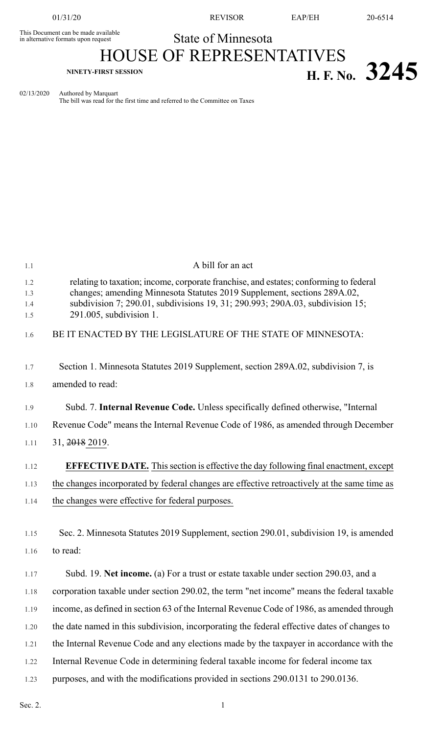This Document can be made available<br>in alternative formats upon request

01/31/20 REVISOR EAP/EH 20-6514

State of Minnesota

# HOUSE OF REPRESENTATIVES **NINETY-FIRST SESSION H. F. No. 3245**

02/13/2020 Authored by Marquart The bill was read for the first time and referred to the Committee on Taxes

| 1.1                      | A bill for an act                                                                                                                                                                                                                                                               |
|--------------------------|---------------------------------------------------------------------------------------------------------------------------------------------------------------------------------------------------------------------------------------------------------------------------------|
| 1.2<br>1.3<br>1.4<br>1.5 | relating to taxation; income, corporate franchise, and estates; conforming to federal<br>changes; amending Minnesota Statutes 2019 Supplement, sections 289A.02,<br>subdivision 7; 290.01, subdivisions 19, 31; 290.993; 290A.03, subdivision 15;<br>$291.005$ , subdivision 1. |
| 1.6                      | BE IT ENACTED BY THE LEGISLATURE OF THE STATE OF MINNESOTA:                                                                                                                                                                                                                     |
| 1.7                      | Section 1. Minnesota Statutes 2019 Supplement, section 289A.02, subdivision 7, is                                                                                                                                                                                               |
| 1.8                      | amended to read:                                                                                                                                                                                                                                                                |
| 1.9                      | Subd. 7. Internal Revenue Code. Unless specifically defined otherwise, "Internal                                                                                                                                                                                                |
| 1.10                     | Revenue Code" means the Internal Revenue Code of 1986, as amended through December                                                                                                                                                                                              |
| 1.11                     | 31, 2018 2019.                                                                                                                                                                                                                                                                  |
| 1.12                     | <b>EFFECTIVE DATE.</b> This section is effective the day following final enactment, except                                                                                                                                                                                      |
| 1.13                     | the changes incorporated by federal changes are effective retroactively at the same time as                                                                                                                                                                                     |
| 1.14                     | the changes were effective for federal purposes.                                                                                                                                                                                                                                |
| 1.15<br>1.16             | Sec. 2. Minnesota Statutes 2019 Supplement, section 290.01, subdivision 19, is amended<br>to read:                                                                                                                                                                              |
| 1.17                     | Subd. 19. Net income. (a) For a trust or estate taxable under section 290.03, and a                                                                                                                                                                                             |
| 1.18                     | corporation taxable under section 290.02, the term "net income" means the federal taxable                                                                                                                                                                                       |
| 1.19                     | income, as defined in section 63 of the Internal Revenue Code of 1986, as amended through                                                                                                                                                                                       |
| 1.20                     | the date named in this subdivision, incorporating the federal effective dates of changes to                                                                                                                                                                                     |
| 1.21                     | the Internal Revenue Code and any elections made by the taxpayer in accordance with the                                                                                                                                                                                         |
| 1.22                     | Internal Revenue Code in determining federal taxable income for federal income tax                                                                                                                                                                                              |
| 1.23                     | purposes, and with the modifications provided in sections 290.0131 to 290.0136.                                                                                                                                                                                                 |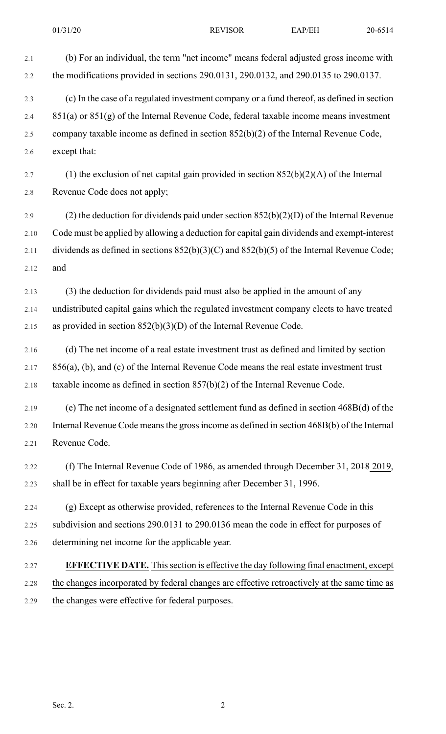2.1 (b) For an individual, the term "net income" means federal adjusted gross income with 2.2 the modifications provided in sections 290.0131, 290.0132, and 290.0135 to 290.0137. 2.3 (c) In the case of a regulated investment company or a fund thereof, as defined in section 2.4 851(a) or  $851(g)$  of the Internal Revenue Code, federal taxable income means investment 2.5 company taxable income as defined in section 852(b)(2) of the Internal Revenue Code, 2.6 except that: 2.7 (1) the exclusion of net capital gain provided in section  $852(b)(2)(A)$  of the Internal 2.8 Revenue Code does not apply; 2.9 (2) the deduction for dividends paid under section  $852(b)(2)(D)$  of the Internal Revenue 2.10 Code must be applied by allowing a deduction for capital gain dividends and exempt-interest 2.11 dividends as defined in sections  $852(b)(3)(C)$  and  $852(b)(5)$  of the Internal Revenue Code; 2.12 and 2.13 (3) the deduction for dividends paid must also be applied in the amount of any 2.14 undistributed capital gains which the regulated investment company elects to have treated 2.15 as provided in section  $852(b)(3)(D)$  of the Internal Revenue Code. 2.16 (d) The net income of a real estate investment trust as defined and limited by section 2.17 856(a), (b), and (c) of the Internal Revenue Code means the real estate investment trust 2.18 taxable income as defined in section  $857(b)(2)$  of the Internal Revenue Code. 2.19 (e) The net income of a designated settlement fund as defined in section 468B(d) of the 2.20 Internal Revenue Code meansthe grossincome as defined in section 468B(b) of the Internal 2.21 Revenue Code. 2.22 (f) The Internal Revenue Code of 1986, as amended through December 31, 2018 2019, 2.23 shall be in effect for taxable years beginning after December 31, 1996. 2.24 (g) Except as otherwise provided, references to the Internal Revenue Code in this 2.25 subdivision and sections 290.0131 to 290.0136 mean the code in effect for purposes of 2.26 determining net income for the applicable year. 2.27 **EFFECTIVE DATE.** Thissection is effective the day following final enactment, except 2.28 the changes incorporated by federal changes are effective retroactively at the same time as 2.29 the changes were effective for federal purposes.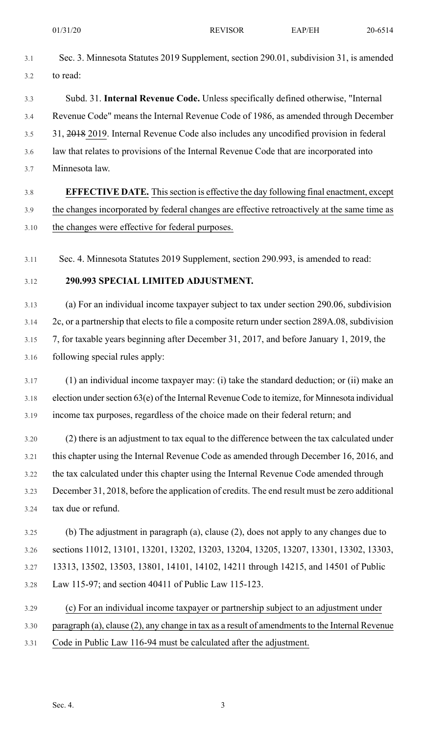- 3.1 Sec. 3. Minnesota Statutes 2019 Supplement, section 290.01, subdivision 31, is amended 3.2 to read:
- 3.3 Subd. 31. **Internal Revenue Code.** Unless specifically defined otherwise, "Internal 3.4 Revenue Code" means the Internal Revenue Code of 1986, as amended through December 3.5 31, 2018 2019. Internal Revenue Code also includes any uncodified provision in federal 3.6 law that relates to provisions of the Internal Revenue Code that are incorporated into
- 3.7 Minnesota law.

## 3.8 **EFFECTIVE DATE.** Thissection is effective the day following final enactment, except 3.9 the changes incorporated by federal changes are effective retroactively at the same time as 3.10 the changes were effective for federal purposes.

3.11 Sec. 4. Minnesota Statutes 2019 Supplement, section 290.993, is amended to read:

#### 3.12 **290.993 SPECIAL LIMITED ADJUSTMENT.**

3.13 (a) For an individual income taxpayer subject to tax under section 290.06, subdivision 3.14 2c, or a partnership that elects to file a composite return under section 289A.08, subdivision 3.15 7, for taxable years beginning after December 31, 2017, and before January 1, 2019, the 3.16 following special rules apply:

- 3.17 (1) an individual income taxpayer may: (i) take the standard deduction; or (ii) make an  $3.18$  election under section  $63(e)$  of the Internal Revenue Code to itemize, for Minnesota individual 3.19 income tax purposes, regardless of the choice made on their federal return; and
- 3.20 (2) there is an adjustment to tax equal to the difference between the tax calculated under 3.21 this chapter using the Internal Revenue Code as amended through December 16, 2016, and 3.22 the tax calculated under this chapter using the Internal Revenue Code amended through 3.23 December 31, 2018, before the application of credits. The end result must be zero additional 3.24 tax due or refund.
- 3.25 (b) The adjustment in paragraph (a), clause (2), does not apply to any changes due to 3.26 sections 11012, 13101, 13201, 13202, 13203, 13204, 13205, 13207, 13301, 13302, 13303, 3.27 13313, 13502, 13503, 13801, 14101, 14102, 14211 through 14215, and 14501 of Public 3.28 Law 115-97; and section 40411 of Public Law 115-123.
- 3.29 (c) For an individual income taxpayer or partnership subject to an adjustment under 3.30 paragraph (a), clause (2), any change in tax as a result of amendments to the Internal Revenue 3.31 Code in Public Law 116-94 must be calculated after the adjustment.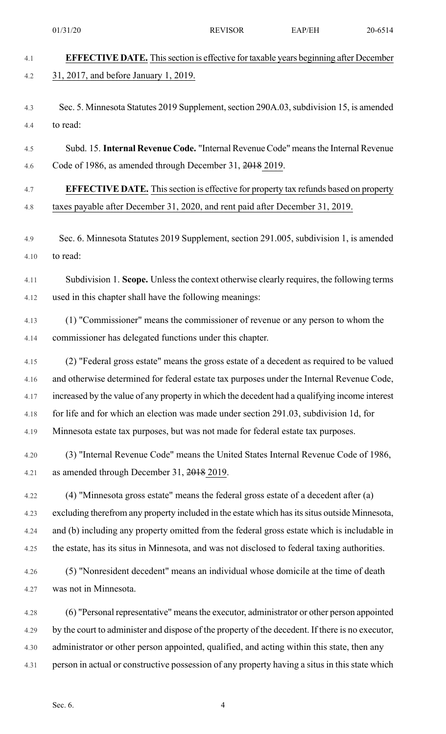4.1 **EFFECTIVE DATE.** Thissection is effective for taxable years beginning after December 4.2 31, 2017, and before January 1, 2019. 4.3 Sec. 5. Minnesota Statutes 2019 Supplement, section 290A.03, subdivision 15, is amended 4.4 to read: 4.5 Subd. 15. **Internal Revenue Code.** "Internal Revenue Code" meansthe Internal Revenue 4.6 Code of 1986, as amended through December 31, 2018 2019. 4.7 **EFFECTIVE DATE.** Thissection is effective for property tax refunds based on property 4.8 taxes payable after December 31, 2020, and rent paid after December 31, 2019. 4.9 Sec. 6. Minnesota Statutes 2019 Supplement, section 291.005, subdivision 1, is amended 4.10 to read: 4.11 Subdivision 1. **Scope.** Unlessthe context otherwise clearly requires, the following terms 4.12 used in this chapter shall have the following meanings: 4.13 (1) "Commissioner" means the commissioner of revenue or any person to whom the 4.14 commissioner has delegated functions under this chapter. 4.15 (2) "Federal gross estate" means the gross estate of a decedent as required to be valued 4.16 and otherwise determined for federal estate tax purposes under the Internal Revenue Code, 4.17 increased by the value of any property in which the decedent had a qualifying income interest 4.18 for life and for which an election was made under section 291.03, subdivision 1d, for 4.19 Minnesota estate tax purposes, but was not made for federal estate tax purposes. 4.20 (3) "Internal Revenue Code" means the United States Internal Revenue Code of 1986, 4.21 as amended through December 31, 2018 2019. 4.22 (4) "Minnesota gross estate" means the federal gross estate of a decedent after (a) 4.23 excluding therefrom any property included in the estate which has its situs outside Minnesota, 4.24 and (b) including any property omitted from the federal gross estate which is includable in 4.25 the estate, has its situs in Minnesota, and was not disclosed to federal taxing authorities. 4.26 (5) "Nonresident decedent" means an individual whose domicile at the time of death 4.27 was not in Minnesota. 4.28 (6) "Personal representative" meansthe executor, administrator or other person appointed 4.29 by the court to administer and dispose of the property of the decedent. If there is no executor, 4.30 administrator or other person appointed, qualified, and acting within this state, then any 4.31 person in actual or constructive possession of any property having a situs in this state which 01/31/20 **REVISOR** EAP/EH 20-6514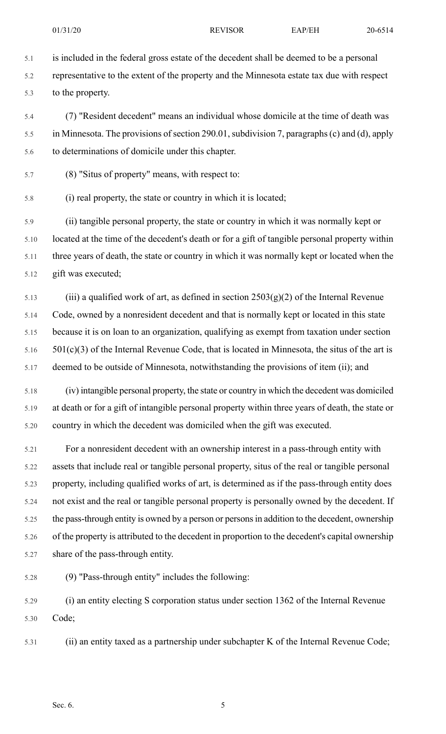5.1 is included in the federal gross estate of the decedent shall be deemed to be a personal 5.2 representative to the extent of the property and the Minnesota estate tax due with respect 5.3 to the property.

5.4 (7) "Resident decedent" means an individual whose domicile at the time of death was 5.5 in Minnesota. The provisions of section 290.01, subdivision 7, paragraphs (c) and (d), apply 5.6 to determinations of domicile under this chapter.

- 5.7 (8) "Situs of property" means, with respect to:
- 5.8 (i) real property, the state or country in which it is located;

5.9 (ii) tangible personal property, the state or country in which it was normally kept or 5.10 located at the time of the decedent's death or for a gift of tangible personal property within 5.11 three years of death, the state or country in which it was normally kept or located when the 5.12 gift was executed;

5.13 (iii) a qualified work of art, as defined in section  $2503(g)(2)$  of the Internal Revenue 5.14 Code, owned by a nonresident decedent and that is normally kept or located in this state 5.15 because it is on loan to an organization, qualifying as exempt from taxation under section  $5.16$   $501(c)(3)$  of the Internal Revenue Code, that is located in Minnesota, the situs of the art is 5.17 deemed to be outside of Minnesota, notwithstanding the provisions of item (ii); and

5.18 (iv) intangible personal property, the state or country in which the decedent was domiciled 5.19 at death or for a gift of intangible personal property within three years of death, the state or 5.20 country in which the decedent was domiciled when the gift was executed.

5.21 For a nonresident decedent with an ownership interest in a pass-through entity with 5.22 assets that include real or tangible personal property, situs of the real or tangible personal 5.23 property, including qualified works of art, is determined as if the pass-through entity does 5.24 not exist and the real or tangible personal property is personally owned by the decedent. If 5.25 the pass-through entity is owned by a person or persons in addition to the decedent, ownership 5.26 of the property is attributed to the decedent in proportion to the decedent's capital ownership 5.27 share of the pass-through entity.

5.28 (9) "Pass-through entity" includes the following:

5.29 (i) an entity electing S corporation status under section 1362 of the Internal Revenue 5.30 Code;

5.31 (ii) an entity taxed as a partnership under subchapter K of the Internal Revenue Code;